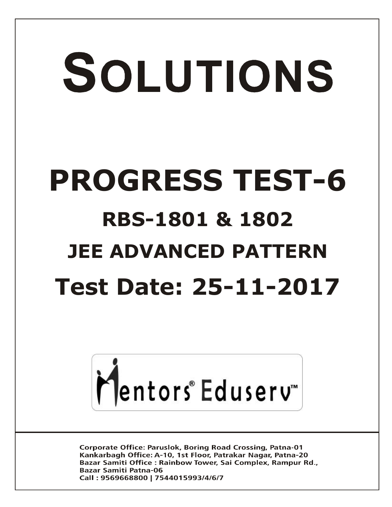# SOLUTIONS **PROGRESS TEST-6 RBS-1801 & 1802 JEE ADVANCED PATTERN Test Date: 25-11-2017**



**Corporate Office: Paruslok, Boring Road Crossing, Patna-01** Kankarbagh Office: A-10, 1st Floor, Patrakar Nagar, Patna-20 Bazar Samiti Office: Rainbow Tower, Sai Complex, Rampur Rd., **Bazar Samiti Patna-06** Call: 9569668800 | 7544015993/4/6/7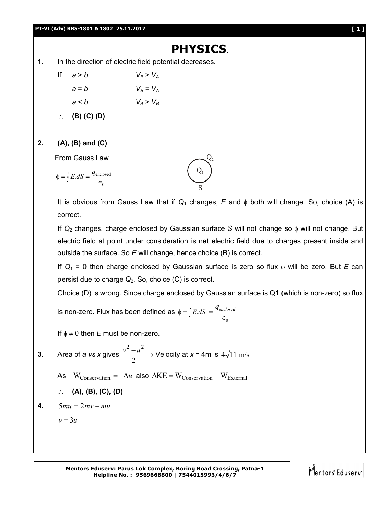## **PT-VI (Adv) RBS-1801 & 1802\_25.11.2017 [ 1 ]**

## **PHYSICS**.

- **1.** In the direction of electric field potential decreases.
	- If  $a > b$   $V_B > V_A$  $a = b$   $V_B = V_A$  $a < b$   $V_A > V_B$ **(B) (C) (D)**
- **2. (A), (B) and (C)**

From Gauss Law

 $\Phi = \oint E \, dS = \frac{4 \text{ encl}}{\epsilon_0}$ 0  $E.dS = \frac{q_{\text{enclosed}}}{q_{\text{enclosed}}}$  $Q_1$ S

It is obvious from Gauss Law that if  $Q_1$  changes,  $E$  and  $\phi$  both will change. So, choice (A) is correct.

 $Q_{2}$ 

If *Q*<sup>2</sup> changes, charge enclosed by Gaussian surface *S* will not change so will not change. But electric field at point under consideration is net electric field due to charges present inside and outside the surface. So *E* will change, hence choice (B) is correct.

If  $Q_1 = 0$  then charge enclosed by Gaussian surface is zero so flux  $\phi$  will be zero. But *E* can persist due to charge *Q*2. So, choice (C) is correct.

Choice (D) is wrong. Since charge enclosed by Gaussian surface is Q1 (which is non-zero) so flux

is non-zero. Flux has been defined as  $\phi = \int E.dS = \frac{7 \text{ } e^2 E}{\mathcal{E}}$  $\boldsymbol{0}$  $=\frac{q_{\mathit{enclosed}}}{q_{\mathit{enclosed}}}$ 

If  $\phi \neq 0$  then *E* must be non-zero.

- **3.** Area of *a vs x* gives 2  $\frac{v^2 - u^2}{2}$   $\Rightarrow$  Velocity at *x* = 4m is 4 $\sqrt{11}$  m/s
	- As  $W_{Conservation} = -\Delta u$  also  $\Delta KE = W_{Conservation} + W_{External}$

$$
\therefore (A), (B), (C), (D)
$$

**4.**  $5mu = 2mv - mu$ 

 $v = 3u$ 

**Mentors Eduserv: Parus Lok Complex, Boring Road Crossing, Patna-1 Helpline No. : 9569668800 | 7544015993/4/6/7**

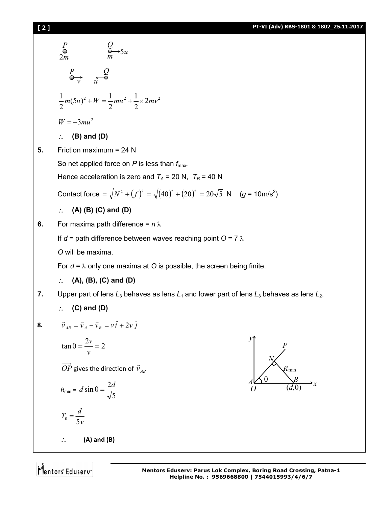## **[ 2 ] PT-VI (Adv) RBS-1801 & 1802\_25.11.2017**

$$
\frac{P}{\phi} = \frac{Q}{m} - 5u
$$
\n
$$
\frac{P}{m} - \frac{Q}{m}
$$
\n
$$
\frac{1}{2}m(5u)^2 + W = \frac{1}{2}mu^2 + \frac{1}{2} \times 2mv^2
$$
\n
$$
W = -3mu^2
$$
\n∴ **(B) and (D)**\n5. Friction maximum = 24 N\nSo net applied force on *P* is less than *f*<sub>max</sub>.  
\nHence acceleration is zero and *T<sub>A</sub>* = 20 N, *T<sub>B</sub>* = 40 N\nContext force =  $\sqrt{N^2 + (f)^2} = \sqrt{(40)^2 + (20)^2} = 20\sqrt{5}$  N (g = 10m/s<sup>2</sup>)\n∴ **(A) (B) (C) and (D)**\n6. For maxima path difference = *n* λ\nIf *d* = path difference between waves reaching point O = 7 λ\nO will be maxima.\nFor *d* = λ only one maxima at O is possible, the screen being finite.\n∴ **(A)**, **(B)**, **(C)** and **(D)**\n7. Upper part of lens *L<sub>3</sub>* behaves as lens *L<sub>1</sub>* and lower part of lens *L<sub>3</sub>* behaves as lens *L<sub>2</sub>*.  
\n∴ **(C) and (D)**\n8.  $\vec{v}_{AB} = \vec{v}_A - \vec{v}_B = \vec{v}_B + 2\vec{v}_B$ \n
$$
\frac{\sin A}{\cos B} = \frac{2V}{\cos B} = \frac{2V}{\cos B} = \frac{2V}{\cos B} = \frac{2V}{\cos B} = \frac{2V}{\cos B}
$$
\n
$$
\frac{P}{\cos B} = \frac{d}{\cos B} = \frac{2d}{\cos B}
$$
\n∴ **(A) and (B)**

Mentors Eduserv<sup>-</sup>

*N*

*x*

 $\overline{(d,0)}$ 

*R*min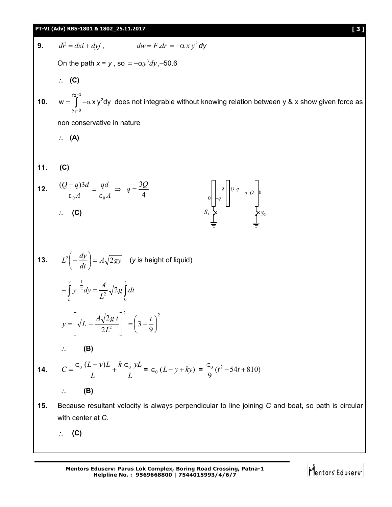## **PT-VI (Adv) RBS-1801 & 1802\_25.11.2017 [ 3 ]**

| 9.  | $d\vec{r} = dx\vec{i} + dy\vec{j}$ , $dw = F dr = -\alpha x y^2 dy$                                                                         |
|-----|---------------------------------------------------------------------------------------------------------------------------------------------|
|     | On the path $x = y$ , so $= -\alpha y^3 dy$ , -50.6                                                                                         |
|     | $\therefore$ (C)                                                                                                                            |
|     | <b>10.</b> $w = \int_{0}^{\frac{y_2-3}{2}} -\alpha x y^2 dy$ does not integrable without knowing relation between y & x show given force as |
|     | non conservative in nature                                                                                                                  |
|     | $\therefore$ (A)                                                                                                                            |
|     |                                                                                                                                             |
| 11. | (C)                                                                                                                                         |
|     | <b>12.</b> $\frac{(Q-q)3d}{\epsilon_0 A} = \frac{qd}{\epsilon_0 A} \Rightarrow q = \frac{3Q}{4}$                                            |
|     | $\therefore$ (C)                                                                                                                            |
|     |                                                                                                                                             |
|     | <b>13.</b> $L^2\left(-\frac{dy}{dt}\right) = A\sqrt{2gy}$ ( <i>y</i> is height of liquid)                                                   |
|     | $-\int_{1}^{y} y^{-\frac{1}{2}} dy = \frac{A}{L^2} \sqrt{2g} \int_{0}^{l} dt$                                                               |
|     | $y = \left[\sqrt{L} - \frac{A\sqrt{2g} t}{2L^2}\right]^2 = \left(3 - \frac{t}{9}\right)^2$                                                  |
|     | (B)                                                                                                                                         |
| 14. | $C = \frac{\epsilon_0 (L - y)L}{L} + \frac{k \epsilon_0 yL}{L} = \epsilon_0 (L - y + ky) = \frac{\epsilon_0}{9} (t^2 - 54t + 810)$          |
|     | (B)<br>$\ddot{\phantom{a}}$ .                                                                                                               |
| 15. | Because resultant velocity is always perpendicular to line joining C and boat, so path is circular                                          |
|     | with center at C.                                                                                                                           |
|     | (C)                                                                                                                                         |
|     |                                                                                                                                             |

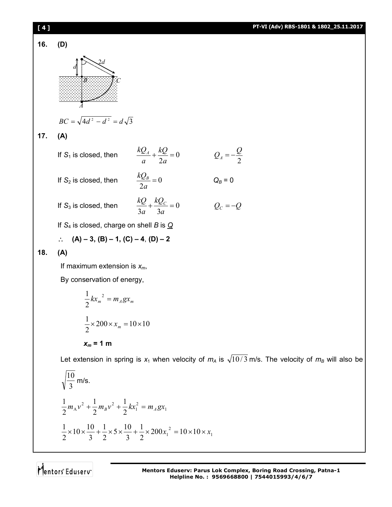

$$
\frac{1}{2}m_A v^2 + \frac{1}{2}m_B v^2 + \frac{1}{2}kx_1^2 = m_A g x_1
$$
  

$$
\frac{1}{2} \times 10 \times \frac{10}{3} + \frac{1}{2} \times 5 \times \frac{10}{3} + \frac{1}{2} \times 200x_1^2 = 10 \times 10 \times x_1
$$

Mentors<sup>e</sup> Eduserv<sup>"</sup>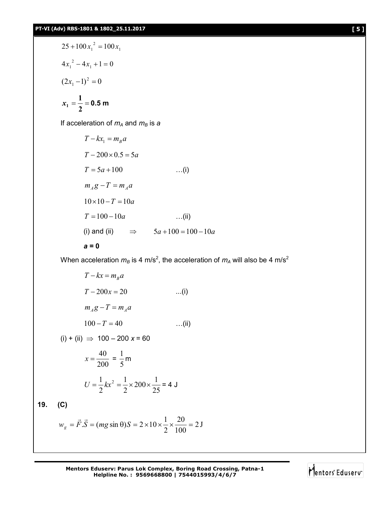$$
25 + 100x_1^2 = 100x_1
$$
  

$$
4x_1^2 - 4x_1 + 1 = 0
$$
  

$$
(2x_1 - 1)^2 = 0
$$
  

$$
x_1 = \frac{1}{2} = 0.5 \text{ m}
$$

If acceleration of *m<sup>A</sup>* and *m<sup>B</sup>* is *a*

$$
T - kx_1 = m_B a
$$
  
\n
$$
T - 200 \times 0.5 = 5a
$$
  
\n
$$
T = 5a + 100
$$
 ...(i)  
\n
$$
m_A g - T = m_A a
$$
  
\n
$$
10 \times 10 - T = 10a
$$
 ...(ii)  
\n
$$
T = 100 - 10a
$$
 ...(ii)  
\n(i) and (ii)  $\implies 5a + 100 = 100 - 10a$ 

$$
a = 0
$$

When acceleration  $m_B$  is 4 m/s<sup>2</sup>, the acceleration of  $m_A$  will also be 4 m/s<sup>2</sup>

$$
T - kx = m_B a
$$
  
\n
$$
T - 200x = 20
$$
 ...(i)  
\n
$$
m_A g - T = m_A a
$$
  
\n
$$
100 - T = 40
$$
 ...(ii)  
\n(i) + (ii)  $\Rightarrow$  100 - 200 x = 60  
\n
$$
x = \frac{40}{200} = \frac{1}{5} m
$$
  
\n
$$
U = \frac{1}{2} kx^2 = \frac{1}{2} \times 200 \times \frac{1}{25} = 4 J
$$
  
\n19. (C)  
\n
$$
w_g = \vec{F} \cdot \vec{S} = (mg \sin \theta)S = 2 \times 10 \times \frac{1}{2} \times \frac{20}{100} = 2 J
$$

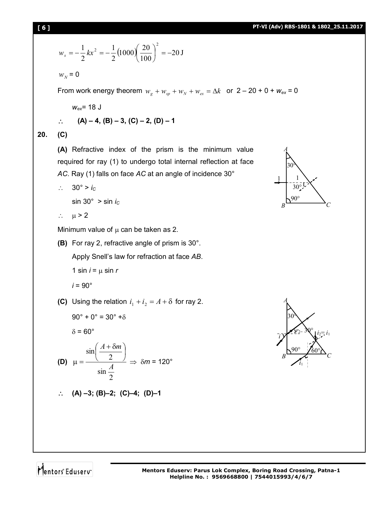$$
w_x = -\frac{1}{2}kx^2 = -\frac{1}{2}(1000)(\frac{20}{100})^2 = -20 \text{ J}
$$
  
\n
$$
w_y = 0
$$
  
\nFrom work energy theorem  $w_g + w_{sp} + w_{sr} + w_{cs} = \Delta k$  or  $2 - 20 + 0 + w_{ex} = 0$   
\n
$$
w_{ex} = 18 \text{ J}
$$
  
\n $\therefore$  (A) – 4, (B) – 3, (C) – 2, (D) – 1  
\n20. (C)  
\n(A) refractive index of the prism is the minimum value required for ray (1) to undergo total internal reflection at face  
\nAC. Ray (1) falls on face AC at an angle of incidence 30°  
\n $\therefore$  30° > *i*<sub>c</sub>  
\n $\therefore$   $\mu > 2$   
\nMinimum value of  $\mu$  can be taken as 2.  
\n(B) For ray 2, refractive angle of prism is 30°.  
\nApply Snell's law for refraction at face AB.  
\n1 sin *i* =  $\mu$  sin *r*  
\n*i* = 90°  
\n(C) Using the relation  $i_1 + i_2 = A + \delta$  for ray 2.

$$
90^\circ + 0^\circ = 30^\circ + \delta
$$

$$
\delta = 60^\circ
$$

(D) 
$$
\mu = \frac{\sin\left(\frac{A+\delta m}{2}\right)}{\sin\frac{A}{2}} \Rightarrow \delta m = 120^{\circ}
$$

$$
\therefore (A) -3; (B) -2; (C) -4; (D) -1
$$





**20. (C)** 

Mentors Eduserv

*incidence* 30°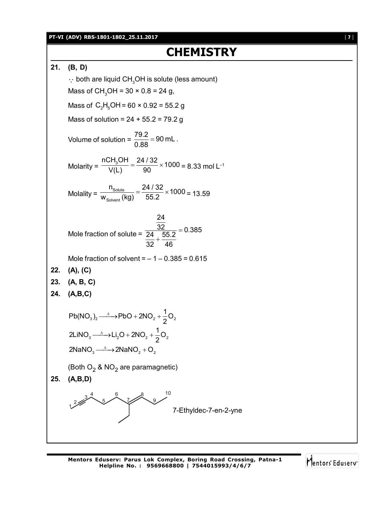### **PT-VI (ADV) RBS-1801-1802\_25.11.2017** [ **7** ]

# **CHEMISTRY**

**21. (B, D)**

 $\cdot$  both are liquid CH<sub>3</sub>OH is solute (less amount) Mass of CH<sub>3</sub>OH =  $30 \times 0.8 = 24$  g, Mass of  $C_2H_5OH = 60 \times 0.92 = 55.2 g$ Mass of solution =  $24 + 55.2 = 79.2$  g Volume of solution =  $\frac{79.2}{0.88}$  = 90 mL. 0.88  $=$ Molarity =  $\frac{nCH_3OH}{V(1)} = \frac{24/32}{00} \times 1000$  $\frac{33611}{V(L)} = \frac{21162}{90} \times 1000 = 8.33$  mol L<sup>-1</sup> Molality =  $\frac{1 \text{Solute}}{W_{\text{Solvent}}}$  $\frac{n_{\text{Solute}}}{n} = \frac{24/32}{55.8} \times 1000$  $\frac{W_{\text{Solution}}}{W_{\text{Solvent}}}$  (kg)  $=$   $\frac{2 + 762}{55.2} \times 1000 = 13.59$ Mole fraction of solute = 24  $\frac{32}{24}$  55.2 = 0.385 32 46  $=$  $\ddot{}$ Mole fraction of solvent  $=$   $-1 - 0.385 = 0.615$ **22. (A), (C) 23. (A, B, C) 24. (A,B,C)**  $3/2$   $2 \times 100 + 2100$   $2 \times 2$ 3  $\times$  2  $\times$  2  $\times$  2  $\sim$  2 2NaN $O_3 \longrightarrow 2$ NaN $O_2 + O_2$  $Pb(NO_3)_2 \longrightarrow PbO + 2NO_2 + \frac{1}{2}O$ 2  $2LiNO<sub>3</sub> \longrightarrow Li<sub>2</sub>O + 2NO<sub>2</sub> + \frac{1}{2}O$ 2  $\xrightarrow{\Delta}$ -PbO + 2NO<sub>2</sub> + - $\rightarrow$  Li<sub>2</sub>O + 2NO<sub>2</sub> + (Both O $_2$  & NO $_2$  are paramagnetic) **25. (A,B,D)**  $\frac{2}{2}$  $3<sup>4</sup>$ 5 6 7 8 9 10 7-Ethyldec-7-en-2-yne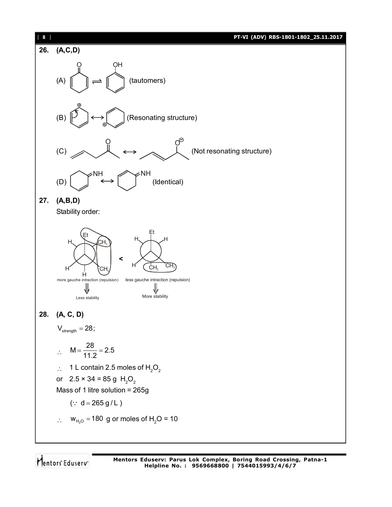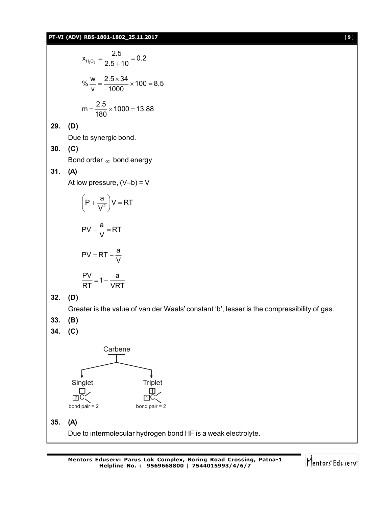## **PT-VI (ADV) RBS-1801-1802\_25.11.2017** [ **9** ]

$$
x_{H_{2}O_{2}} = \frac{2.5}{2.5 + 10} = 0.2
$$
\n
$$
\% \frac{w}{v} = \frac{2.5 \times 34}{1000} \times 100 = 8.5
$$
\n
$$
m = \frac{2.5}{180} \times 1000 = 13.88
$$
\n29. (D)\nDue to synergic bond.\n30. (C)\nBond order  $\infty$  bond energy\n31. (A)\nAt low pressure, (V-b) = V\n
$$
\left(P + \frac{a}{V^{2}}\right)V = RT
$$
\n
$$
PV + \frac{a}{V} = RT
$$
\n
$$
PV = RT - \frac{a}{V}
$$
\n
$$
\frac{PV}{RT} = 1 - \frac{a}{VRT}
$$
\n32. (D)\nCreate is the value of van der W\n33. (B)\n34. (C)\n  
Carbene\n  
Triangle\n  
Triplet

'aals' constant 'b', lesser is the compressibility of gas.

- **33. (B)**
- **34. (C)**



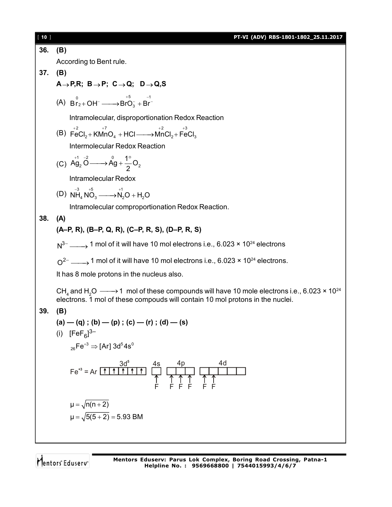| $[10]$ | PT-VI (ADV) RBS-1801-1802_25.11.2017                                                                                                                                                                                                                                                                                                                                                                                                                                                                                                                                                                         |
|--------|--------------------------------------------------------------------------------------------------------------------------------------------------------------------------------------------------------------------------------------------------------------------------------------------------------------------------------------------------------------------------------------------------------------------------------------------------------------------------------------------------------------------------------------------------------------------------------------------------------------|
| 36.    | (B)                                                                                                                                                                                                                                                                                                                                                                                                                                                                                                                                                                                                          |
|        | According to Bent rule.                                                                                                                                                                                                                                                                                                                                                                                                                                                                                                                                                                                      |
| 37.    | (B)                                                                                                                                                                                                                                                                                                                                                                                                                                                                                                                                                                                                          |
|        | $A \rightarrow P, R$ ; B $\rightarrow P$ ; C $\rightarrow Q$ ; D $\rightarrow Q$ , S                                                                                                                                                                                                                                                                                                                                                                                                                                                                                                                         |
|        | (A) $B_{r_2+}^0$ OH <sup>-</sup> $\longrightarrow$ BrO <sub>3</sub> + Br <sup>-1</sup>                                                                                                                                                                                                                                                                                                                                                                                                                                                                                                                       |
|        | Intramolecular, disproportionation Redox Reaction                                                                                                                                                                                                                                                                                                                                                                                                                                                                                                                                                            |
|        | (B) $\overrightarrow{FeCl}_2 + \overrightarrow{KMnO}_4 + \overrightarrow{HCl} \longrightarrow \overrightarrow{MnCl}_2 + \overrightarrow{FeCl}_3$                                                                                                                                                                                                                                                                                                                                                                                                                                                             |
|        | <b>Intermolecular Redox Reaction</b>                                                                                                                                                                                                                                                                                                                                                                                                                                                                                                                                                                         |
|        | (C) $\overrightarrow{Ag_2} \xrightarrow{0} \overrightarrow{Ag} + \frac{1}{2} \xrightarrow{0} Q_2$                                                                                                                                                                                                                                                                                                                                                                                                                                                                                                            |
|        | Intramolecular Redox                                                                                                                                                                                                                                                                                                                                                                                                                                                                                                                                                                                         |
|        | (D) $N_{H_4}^{3}N_{O_3}^{6} \longrightarrow N_2^{11}O + H_2O$                                                                                                                                                                                                                                                                                                                                                                                                                                                                                                                                                |
|        | Intramolecular comproportionation Redox Reaction.                                                                                                                                                                                                                                                                                                                                                                                                                                                                                                                                                            |
| 38.    | (A)                                                                                                                                                                                                                                                                                                                                                                                                                                                                                                                                                                                                          |
|        | (A–P, R), (B–P, Q, R), (C–P, R, S), (D–P, R, S)                                                                                                                                                                                                                                                                                                                                                                                                                                                                                                                                                              |
|        | $N^{3-}$ 1 mol of it will have 10 mol electrons i.e., 6.023 × 10 <sup>24</sup> electrons                                                                                                                                                                                                                                                                                                                                                                                                                                                                                                                     |
|        | $Q^{2-}$ $\longrightarrow$ 1 mol of it will have 10 mol electrons i.e., 6.023 × 10 <sup>24</sup> electrons.                                                                                                                                                                                                                                                                                                                                                                                                                                                                                                  |
|        | It has 8 mole protons in the nucleus also.                                                                                                                                                                                                                                                                                                                                                                                                                                                                                                                                                                   |
|        | CH <sub>4</sub> and H <sub>2</sub> O $\longrightarrow$ 1 mol of these compounds will have 10 mole electrons i.e., 6.023 $\times$ 10 <sup>24</sup><br>electrons. 1 mol of these compouds will contain 10 mol protons in the nuclei.                                                                                                                                                                                                                                                                                                                                                                           |
| 39.    | (B)                                                                                                                                                                                                                                                                                                                                                                                                                                                                                                                                                                                                          |
|        | $(a) - (q)$ ; $(b) - (p)$ ; $(c) - (r)$ ; $(d) - (s)$                                                                                                                                                                                                                                                                                                                                                                                                                                                                                                                                                        |
|        | [FeF $_{6}$ ] <sup>3–</sup><br>(i)                                                                                                                                                                                                                                                                                                                                                                                                                                                                                                                                                                           |
|        | $_{26}$ Fe <sup>+3</sup> $\Rightarrow$ [Ar] 3d <sup>5</sup> 4s <sup>0</sup>                                                                                                                                                                                                                                                                                                                                                                                                                                                                                                                                  |
|        | $Fe^{+3} = Ar \nightharpoonup \nightharpoonup \nightharpoonup \nightharpoonup \nightharpoonup \nightharpoonup \nightharpoonup \nightharpoonup \nightharpoonup \nightharpoonup \nightharpoonup \nightharpoonup \nightharpoonup \nightharpoonup \nightharpoonup \nightharpoonup \nightharpoonup \nightharpoonup \nightharpoonup \nightharpoonup \nightharpoonup \nightharpoonup \nightharpoonup \nightharpoonup \nightharpoonup \nightharpoonup \nightharpoonup \nightharpoonup \nightharpoonup \nightharpoonup \nightharpoonup \nightharpoonup \nightharpoonup \nightharpoonup \nightharpoonup \nighth$<br>4d |
|        | $\mu = \sqrt{n(n+2)}$                                                                                                                                                                                                                                                                                                                                                                                                                                                                                                                                                                                        |
|        | $\mu = \sqrt{5(5+2)} = 5.93$ BM                                                                                                                                                                                                                                                                                                                                                                                                                                                                                                                                                                              |
|        |                                                                                                                                                                                                                                                                                                                                                                                                                                                                                                                                                                                                              |
|        |                                                                                                                                                                                                                                                                                                                                                                                                                                                                                                                                                                                                              |

Mentors<sup>®</sup> Eduserv<sup>®</sup>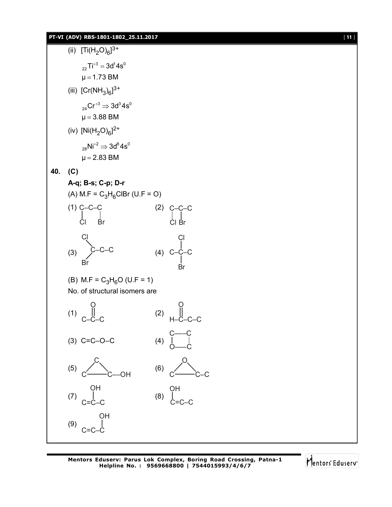**PT-VI (ADV) RBS-1801-1802\_25.11.2017** [ **11** ]

$$
[\,\,11\,\,]
$$

(ii)  $[Ti(H_2O)_6]^{3+}$  $_{22}$ Ti<sup>+3</sup> = 3d<sup>1</sup>4s<sup>0</sup>  $\mu$  = 1.73 BM (iii)  $[Cr(NH_3)_6]^{3+}$  $_{\mathrm{24}}$ Cr $^{+3}$   $\Rightarrow$  3d $^{3}$ 4 $\mathrm{s}^{0}$  $\mu$  = 3.88 BM (iv)  $[Ni(H_2O)_6]^{2+}$  $_{28}$ Ni $^{+2} \Rightarrow 3$ d $^{8}$ 4 $\text{s}^{0}$  $\mu$  = 2.83 BM **40. (C) A-q; B-s; C-p; D-r** (A)  $M.F = C_3H_6CIBr$  (U.F = O) (1) C–C–C Cl Br (2) C–C–C Cl Br  $(3)$  C–C–C Cl Br (4) C–C–C Cl Br (B) M.F =  $C_3H_6O$  (U.F = 1) No. of structural isomers are (1) C–C–C O (2) H–C–C–C O (3) C=C–O–C (4) C–––C O–––C (5) C C<del>–––</del>C––OH (6) O C<del>––</del>C–C (7) C=C–C OH (8) C=C–C OH (9) C=C–C OH

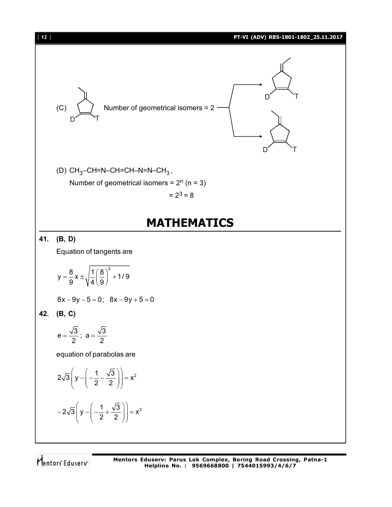

Mentors<sup>®</sup> Eduserv<sup>®</sup>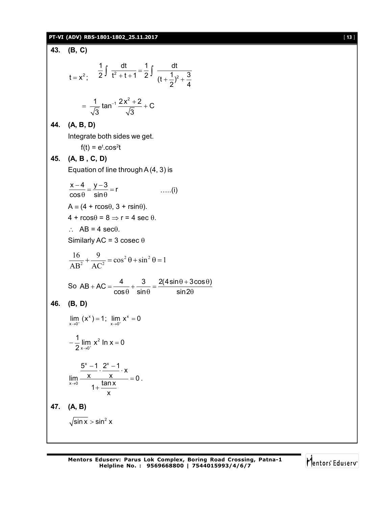## **PT-VI (ADV) RBS-1801-1802\_25.11.2017** [ **13** ]

**43.** (**B, C**)  
\n
$$
t = x^2
$$
;  $\frac{1}{2} \int \frac{dt}{t^2 + t + 1} = \frac{1}{2} \int \frac{dt}{(t + \frac{1}{2})^2 + \frac{3}{4}}$   
\n $= \frac{1}{\sqrt{3}} \tan^{-1} \frac{2x^2 + 2}{\sqrt{3}} + C$   
\n**44.** (**A, B, D**)  
\nIntegrate both sides we get.  
\n $t(t) = e^t \cdot cos^2t$   
\n**45.** (**A, B, C, D**)  
\nEquation of line through A(4, 3) is  
\n $\frac{x - 4}{cos \theta} = \frac{y - 3}{sin \theta} = r$  ....(i)  
\n $A = (4 + r cos \theta, 3 + r sin \theta).$   
\n $4 + r cos \theta = 8 \Rightarrow r = 4 sec 0.$   
\n $\therefore$  AB = 4 sec<sup>3</sup>.  
\nSimilarly AC = 3 cosec θ  
\n $\frac{16}{AB^2} + \frac{9}{AC^2} = cos^2 \theta + sin^2 \theta = 1$   
\nSo AB + AC =  $\frac{4}{cos \theta} + \frac{3}{sin \theta} = \frac{2(4 sin \theta + 3 cos \theta)}{sin 2\theta}$   
\n**46.** (**B, D**)  
\n $\lim_{x \to 0^+} (x^x) = 1; \lim_{x \to 0^+} x^x = 0$   
\n $-\frac{1}{2} \lim_{x \to 0^+} x^2 \ln x = 0$   
\n $\frac{5^x - 1}{2^x \ln 2} = \frac{2^x - 1}{1 + \frac{\ln x}{x}} \times$   
\n**47.** (**A, B**)  
\n $\sqrt{\sin x} > \sin^2 x$ 

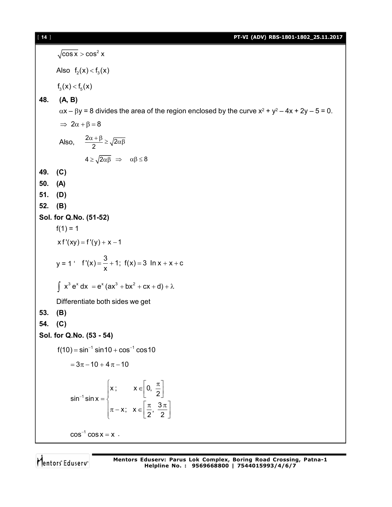## [ **14** ] **PT-VI (ADV) RBS-1801-1802\_25.11.2017**

 $\cos x > \cos^2 x$ Also  $f_2(x) < f_3(x)$  $f_3(x) < f_5(x)$ **48. (A, B)**  $\alpha$ x –  $\beta$ y = 8 divides the area of the region enclosed by the curve x<sup>2</sup> + y<sup>2</sup> – 4x + 2y – 5 = 0.  $\Rightarrow$  2 $\alpha + \beta = 8$ Also,  $\frac{2\alpha+\beta}{2} \ge \sqrt{2\alpha\beta}$  $4 \ge \sqrt{2\alpha\beta} \Rightarrow \alpha\beta \le 8$ **49. (C) 50. (A) 51. (D) 52. (B) Sol. for Q.No. (51-52)**  $f(1) = 1$  $xf'(xy) = f'(y) + x - 1$ y = 1 '  $f'(x) = \frac{3}{x} + 1$ ;  $f(x) = 3 \ln x + x + c$ x  $=-+1$ ; f(x) = 3 ln x + x + 0  $\int x^3 e^x dx = e^x (ax^3 + bx^2 + cx + d) + \lambda$ Differentiate both sides we get **53. (B) 54. (C) Sol. for Q.No. (53 - 54)**  $f(10) = \sin^{-1} \sin 10 + \cos^{-1} \cos 10$  $= 3\pi - 10 + 4\pi - 10$ 1  $x$ ;  $x \in \,] 0,$  $\sin^{-1} \sin x = \begin{cases} 1 & 1 \\ 1 & 2 \end{cases}$ x;  $x \in \left[\frac{\pi}{2}, \frac{3}{4}\right]$  $2^{7}$  2  $x; \quad x \in \left[0, \frac{\pi}{2}\right]$  $=\{$  $\left[\pi - x; x \in \left[\frac{\pi}{2}, \frac{3\pi}{2}\right]\right]$  $cos^{-1} cos x = x$ .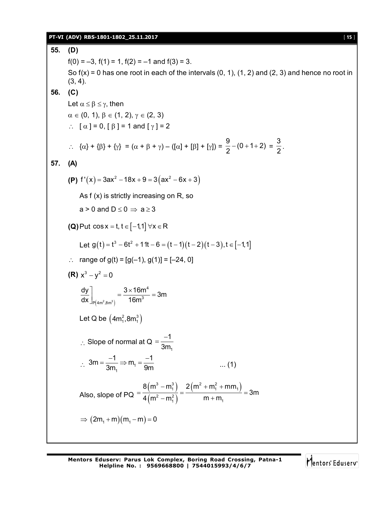### **PT-VI (ADV) RBS-1801-1802\_25.11.2017** [ **15** ]

**55. (D)**  $f(0) = -3$ ,  $f(1) = 1$ ,  $f(2) = -1$  and  $f(3) = 3$ . So  $f(x) = 0$  has one root in each of the intervals  $(0, 1)$ ,  $(1, 2)$  and  $(2, 3)$  and hence no root in  $(3, 4)$ . **56. (C)** Let  $\alpha \leq \beta \leq \gamma$ , then  $\alpha \in (0, 1), \beta \in (1, 2), \gamma \in (2, 3)$  $\therefore$  [  $\alpha$  ] = 0, [  $\beta$  ] = 1 and [  $\gamma$  ] = 2  $\therefore \quad {\alpha} + {\beta} + {\gamma} = {\alpha + \beta + \gamma} - ({\alpha} + {\beta} + {\gamma})$  $\frac{9}{2}$  – (0 + 1 + 2)  $\frac{9}{2}$  - (0 + 1 + 2) =  $\frac{3}{2}$  $\frac{1}{2}$ . **57. (A) (P)**  $f'(x) = 3ax^2 - 18x + 9 = 3(ax^2 - 6x + 3)$ As f (x) is strictly increasing on R, so  $a > 0$  and  $D \le 0 \Rightarrow a \ge 3$ **(Q)** Put  $\cos x = t$ ,  $t \in [-1,1]$   $\forall x \in R$ Let  $g(t) = t^3 - 6t^2 + 11t - 6 = (t - 1)(t - 2)(t - 3), t \in [-1,1]$ : range of  $g(t) = [g(-1), g(1)] = [-24, 0]$ **(R)**  $x^3 - y^2 = 0$  $(4m^2,8m^3)$ 4  $_{\mathsf{P}(4\mathsf{m}^2,8\mathsf{m}^3)}$  16 $\mathsf{m}^3$  $\left| \frac{dy}{dx} \right| = \frac{3 \times 16m^4}{10^{3}} = 3m$ dx  $\vert_{\rm p\vert 4m^2, 8m^3 \vert}$  16m  $\int_{P(4m^2,8m^3)} = \frac{3 \times 16m^4}{16m^3} = 3$ Let Q be  $(4m_1^2, 8m_1^3)$  $\therefore$  Slope of normal at Q 1 1 3m  $=\frac{-}{2}$  $\therefore$  3m =  $\frac{1}{3m_1} \Rightarrow m_1$  $3m = \frac{-1}{2} \Rightarrow m_1 = \frac{-1}{2}$  $3m<sub>1</sub>$  9m  $=\frac{-1}{3m} \Rightarrow m_1 = \frac{-1}{9m}$  .... (1) Also, slope of PQ  $(m<sup>o</sup> - m<sub>1</sub><sup>o</sup>)$  $(m^2-m_1^2)$  $(3 - m_1^3)$  2  $(m^2 + m_1^2 + mm_1)$  $2^2 - m_1^2$  m + m<sub>1</sub>  $8(m^3 - m_1^3)$   $2(m^2 + m_1^2 + mm)$ 3m  $4(m^2 - m_1^2)$  m + m  $-m_1^3$  2 (m<sup>2</sup> + m<sub>1</sub><sup>2</sup> + n  $=\frac{1}{12(2-2)}=\frac{1}{2}=\frac{1}{2}=\frac{1}{2}=\frac{1}{2}$  $-m_1^2$  ) m +  $\Rightarrow$   $(2m_1 + m)(m_1 - m) = 0$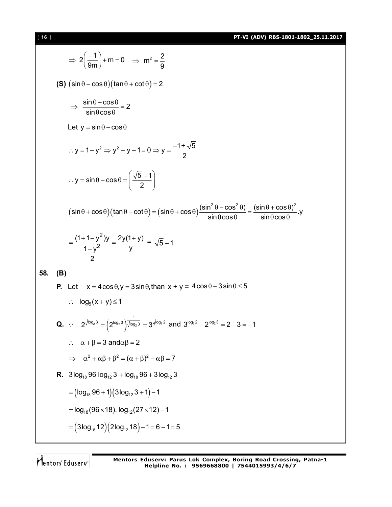[ **16** ] **PT-VI (ADV) RBS-1801-1802\_25.11.2017**

$$
2\left(\frac{-1}{9m}\right)+m=0 \Rightarrow m^2 = \frac{2}{9}
$$
\n**(S)** (sin θ – cos θ)(tan θ + cot θ) = 2  
\n
$$
\Rightarrow \frac{sin θ - cos θ}{sin θ cos θ}
$$
\n
$$
= 2
$$
\nLet y = sin θ – cos θ  
\n∴ y = 1 – y<sup>2</sup> ⇒ y<sup>2</sup> + y – 1 = 0 ⇒ y =  $\frac{-1 ± \sqrt{5}}{2}$   
\n∴ y = sin θ – cos θ =  $\left(\frac{\sqrt{5} - 1}{2}\right)$   
\n
$$
(sin θ + cos θ)(tan θ – cot θ) = (sin θ + cos θ) \frac{(sin2 θ – cos2 θ)}{sin θ cos θ}
$$
\n
$$
= \frac{(1+1-y2)y}{\frac{y}{2}} = \frac{2y(1+y)}{y} = \sqrt{5}+1
$$
\n**58.** (B)  
\n**P.** Let x = 4 cos θ, y = 3 sin θ, than x + y = 4 cos θ + 3 sin θ ≤ 5  
\n∴ log<sub>5</sub>(x + y) ≤ 1  
\nQ. ∴ 2<sup>√60<sub>3</sub> = (2<sup>10q<sub>2</sub>3) <sup>1</sup>√60<sub>3</sub> = 3<sup>√60<sub>3</sub>2</sup> and 3<sup>√60<sub>3</sub>2</sup> – 2<sup>10q<sub>3</sub>3</sup> = 2 – 3 = –1  
\n∴ α + β = 3 and αβ = 2  
\n⇒ α<sup>2</sup> + αβ + β<sup>2</sup> = (α + β)<sup>2</sup> – αβ = 7  
\n**R.** 3log<sub>18</sub> 96 log<sub>12</sub> 3 + log<sub>18</sub> 96 + 3log<sub>12</sub> 3  
\n= (log<sub>18</sub> 96 + 1)(3log<sub>12</sub> 3 + 1) – 1  
\n= log<sub>18</sub>(96×18). log<sub>12</sub>(27×12) – 1  
\n= (3log<sub>18</sub> 12)(2log<sub>12</sub> 18) – 1</sup></sup>

Mentors<sup>e</sup> Eduserv<sup>-</sup>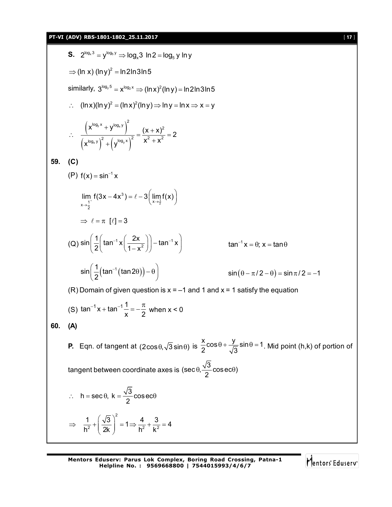5. 2<sup>[x<sub>0,3</sub>] → <sup>[x<sub>0,4</sub>]} y</sup> ⇒ log<sub>4</sub> 3 ln 2 = log<sub>4</sub> y ln y  
\n⇒ (ln x) (ln y)<sup>2</sup> = ln 2ln 3ln 5  
\nsimilary, 3<sup>[x<sub>0,5</sub>] = x<sup>[x<sub>0,2</sub>]} (ln x)<sup>2</sup>(ln y) = ln 2ln 3ln 5  
\n∴ (ln x)(ln y)<sup>2</sup> = (ln x)<sup>2</sup>(ln y) ⇒ ln y = ln x ⇒ x = y  
\n∴ 
$$
\frac{(x[x0,3]+y[x0]+y2)}{x[x0]+y2]} = \frac{(x + x)2}{x2 + x2} = 2
$$
  
\n59. (C)  
\n(P) f(x) = sin<sup>-1</sup> x  
\n
$$
\lim_{x \to \frac{1}{2}} f(3x-4x3) = \ell - 3\left(\lim_{x \to \frac{1}{2}} f(x)\right)
$$
\n⇒  $\ell = \pi$  [ℓ] = 3  
\n(Q) sin  $\left(\frac{1}{2}\left(\tan^{-1} x\left(\frac{2x}{1-x2}\right)\right) - \tan^{-1} x\right)$  tan<sup>-1</sup> x  
\n
$$
\sin \left(\frac{1}{2}(\tan^{-1} (\tan 2\theta)) - \theta\right)
$$
 sin(θ – π/2 – θ) = sin π/2 = -1  
\n(R) Domain of given question is x = -1 and 1 and x = 1 satisfy the equation  
\n(S) tan<sup>-1</sup> x + tan<sup>-1</sup>  $\frac{1}{x}$  =  $-\frac{\pi}{2}$  when x < 0  
\n60. (A)  
\nP. Eqn. of tangent at (2cos θ, √3 sin θ) is  $\frac{x}{2}$ cos θ +  $\frac{y}{\sqrt{3}}$  sin θ = 1. Mid point (h,k) of portion of  
\ntangent between coordinate axes is (sec θ,  $\frac{\sqrt{3}}{2}$  coseceθ)  
\n∴ h = sec θ, k =  $\frac{\sqrt{3}}{2}$  cosecθ  
\n⇒  $\frac{1}{h^2$</sup></sup></sup> 

Mentors<sup>e</sup> Eduserv<sup>-</sup>